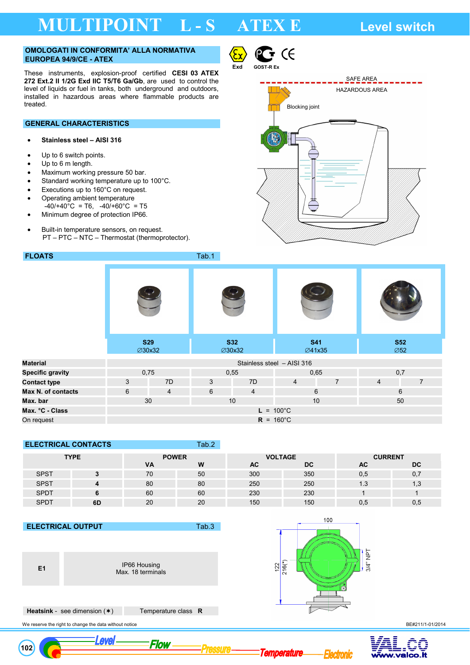# **MULTIPOINT L - S ATEX E Level switch**

## **OMOLOGATI IN CONFORMITA' ALLA NORMATIVA EUROPEA 94/9/CE - ATEX**

These instruments, explosion-proof certified **CESI 03 ATEX 272 Ext.2 II 1/2G Exd IIC T5/T6 Ga/Gb**, are used to control the level of liquids or fuel in tanks, both underground and outdoors, installed in hazardous areas where flammable products are treated.

## **GENERAL CHARACTERISTICS**

## • **Stainless steel – AISI 316**

- Up to 6 switch points.
- Up to 6 m length.
- Maximum working pressure 50 bar.
- Standard working temperature up to 100°C.
- Executions up to 160°C on request.
- Operating ambient temperature
- $-40/440^{\circ}$ C = T6,  $-40/460^{\circ}$ C = T5
- Minimum degree of protection IP66.
- Built-in temperature sensors, on request. PT – PTC – NTC – Thermostat (thermoprotector).





 $\epsilon$ 

|                         | <b>S29</b><br>∅30x32 |  | <b>S32</b><br>∅30x32 |                            | <b>S41</b><br><b>⊘41x35</b> |                | <b>S52</b><br>$\emptyset$ 52 |                |  |
|-------------------------|----------------------|--|----------------------|----------------------------|-----------------------------|----------------|------------------------------|----------------|--|
| <b>Material</b>         |                      |  |                      | Stainless steel - AISI 316 |                             |                |                              |                |  |
| <b>Specific gravity</b> | 0,75                 |  | 0,55                 |                            | 0,65                        |                | 0,7                          |                |  |
| <b>Contact type</b>     | 3<br>7D              |  | 3                    | 7D                         | $\overline{4}$              | $\overline{7}$ | $\overline{4}$               | $\overline{7}$ |  |
| Max N. of contacts      | 6<br>$\overline{4}$  |  | 6                    | $\overline{4}$             |                             | 6              |                              | 6              |  |
| Max. bar                | 30                   |  | 10                   |                            | 10                          |                |                              | 50             |  |

## **ELECTRICAL CONTACTS Tab.2**

**Max. °C - Class L** = 100°C On request **R** = 160°C

| <b>TYPE</b> |    | <b>POWER</b> |    | <b>VOLTAGE</b> |           | <b>CURRENT</b> |     |  |
|-------------|----|--------------|----|----------------|-----------|----------------|-----|--|
|             |    | <b>VA</b>    | W  | AC             | <b>DC</b> | AC             | DC  |  |
| <b>SPST</b> |    | 70           | 50 | 300            | 350       | 0,5            | U., |  |
| <b>SPST</b> |    | 80           | 80 | 250            | 250       | 1.3            | 1,3 |  |
| <b>SPDT</b> |    | 60           | 60 | 230            | 230       |                |     |  |
| <b>SPDT</b> | 6D | 20           | 20 | 150            | 150       |                | 0,5 |  |

Pressure

## **ELECTRICAL OUTPUT** Tab.3



 **102** 

**E1** IP66 Housing Max. 18 terminals

Flow



Temperature

 **Heatsink** - see dimension  $(*)$  Temperature class **R** 

<u>Level</u>

We reserve the right to change the data without notice **BE#211/1-01/2014 BE#211/1-01/2014** 

cironic

Ε

ralon it